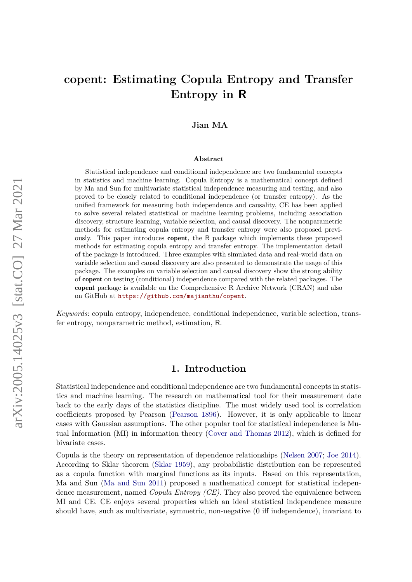# **copent: Estimating Copula Entropy and Transfer Entropy in R**

### **Jian MA**

#### **Abstract**

Statistical independence and conditional independence are two fundamental concepts in statistics and machine learning. Copula Entropy is a mathematical concept defined by Ma and Sun for multivariate statistical independence measuring and testing, and also proved to be closely related to conditional independence (or transfer entropy). As the unified framework for measuring both independence and causality, CE has been applied to solve several related statistical or machine learning problems, including association discovery, structure learning, variable selection, and causal discovery. The nonparametric methods for estimating copula entropy and transfer entropy were also proposed previously. This paper introduces copent, the R package which implements these proposed methods for estimating copula entropy and transfer entropy. The implementation detail of the package is introduced. Three examples with simulated data and real-world data on variable selection and causal discovery are also presented to demonstrate the usage of this package. The examples on variable selection and causal discovery show the strong ability of copent on testing (conditional) independence compared with the related packages. The copent package is available on the Comprehensive R Archive Network (CRAN) and also on GitHub at <https://github.com/majianthu/copent>.

*Keywords*: copula entropy, independence, conditional independence, variable selection, transfer entropy, nonparametric method, estimation, R.

### **1. Introduction**

Statistical independence and conditional independence are two fundamental concepts in statistics and machine learning. The research on mathematical tool for their measurement date back to the early days of the statistics discipline. The most widely used tool is correlation coefficients proposed by Pearson [\(Pearson](#page-16-0) [1896\)](#page-16-0). However, it is only applicable to linear cases with Gaussian assumptions. The other popular tool for statistical independence is Mutual Information (MI) in information theory [\(Cover and Thomas](#page-15-0) [2012\)](#page-15-0), which is defined for bivariate cases.

Copula is the theory on representation of dependence relationships [\(Nelsen](#page-16-1) [2007;](#page-16-1) [Joe](#page-16-2) [2014\)](#page-16-2). According to Sklar theorem [\(Sklar](#page-17-0) [1959\)](#page-17-0), any probabilistic distribution can be represented as a copula function with marginal functions as its inputs. Based on this representation, Ma and Sun [\(Ma and Sun](#page-16-3) [2011\)](#page-16-3) proposed a mathematical concept for statistical independence measurement, named *Copula Entropy (CE)*. They also proved the equivalence between MI and CE. CE enjoys several properties which an ideal statistical independence measure should have, such as multivariate, symmetric, non-negative (0 iff independence), invariant to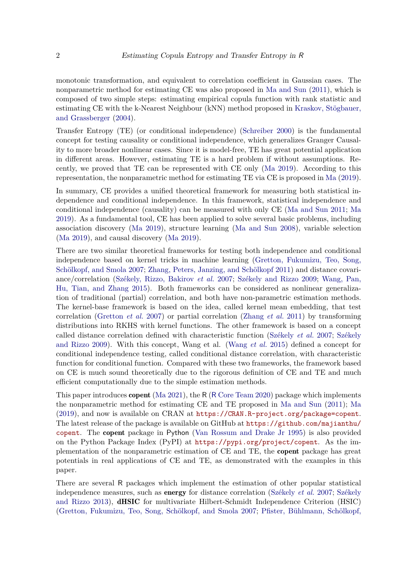monotonic transformation, and equivalent to correlation coefficient in Gaussian cases. The nonparametric method for estimating CE was also proposed in [Ma and Sun](#page-16-3) [\(2011\)](#page-16-3), which is composed of two simple steps: estimating empirical copula function with rank statistic and estimating CE with the k-Nearest Neighbour (kNN) method proposed in [Kraskov, Stögbauer,](#page-16-4) [and Grassberger](#page-16-4) [\(2004\)](#page-16-4).

Transfer Entropy (TE) (or conditional independence) [\(Schreiber](#page-17-1) [2000\)](#page-17-1) is the fundamental concept for testing causality or conditional independence, which generalizes Granger Causality to more broader nonlinear cases. Since it is model-free, TE has great potential application in different areas. However, estimating TE is a hard problem if without assumptions. Recently, we proved that TE can be represented with CE only [\(Ma](#page-16-5) [2019\)](#page-16-5). According to this representation, the nonparametric method for estimating TE via CE is proposed in [Ma](#page-16-5) [\(2019\)](#page-16-5).

In summary, CE provides a unified theoretical framework for measuring both statistical independence and conditional independence. In this framework, statistical independence and conditional independence (causality) can be measured with only CE [\(Ma and Sun](#page-16-3) [2011;](#page-16-3) [Ma](#page-16-5) [2019\)](#page-16-5). As a fundamental tool, CE has been applied to solve several basic problems, including association discovery [\(Ma](#page-16-6) [2019\)](#page-16-6), structure learning [\(Ma and Sun](#page-16-7) [2008\)](#page-16-7), variable selection [\(Ma](#page-16-8) [2019\)](#page-16-8), and causal discovery [\(Ma](#page-16-5) [2019\)](#page-16-5).

There are two similar theoretical frameworks for testing both independence and conditional independence based on kernel tricks in machine learning [\(Gretton, Fukumizu, Teo, Song,](#page-15-1) [Schölkopf, and Smola](#page-15-1) [2007;](#page-15-1) [Zhang, Peters, Janzing, and Schölkopf](#page-17-2) [2011\)](#page-17-2) and distance covariance/correlation [\(Székely, Rizzo, Bakirov](#page-17-3) *et al.* [2007;](#page-17-3) [Székely and Rizzo](#page-17-4) [2009;](#page-17-4) [Wang, Pan,](#page-17-5) [Hu, Tian, and Zhang](#page-17-5) [2015\)](#page-17-5). Both frameworks can be considered as nonlinear generalization of traditional (partial) correlation, and both have non-parametric estimation methods. The kernel-base framework is based on the idea, called kernel mean embedding, that test correlation [\(Gretton](#page-15-1) *et al.* [2007\)](#page-15-1) or partial correlation [\(Zhang](#page-17-2) *et al.* [2011\)](#page-17-2) by transforming distributions into RKHS with kernel functions. The other framework is based on a concept called distance correlation defined with characteristic function [\(Székely](#page-17-3) *et al.* [2007;](#page-17-3) [Székely](#page-17-4) [and Rizzo](#page-17-4) [2009\)](#page-17-4). With this concept, Wang et al. [\(Wang](#page-17-5) *et al.* [2015\)](#page-17-5) defined a concept for conditional independence testing, called conditional distance correlation, with characteristic function for conditional function. Compared with these two frameworks, the framework based on CE is much sound theoretically due to the rigorous definition of CE and TE and much efficient computationally due to the simple estimation methods.

This paper introduces copent [\(Ma](#page-16-9) [2021\)](#page-16-9), the R (R [Core Team](#page-16-10) [2020\)](#page-16-10) package which implements the nonparametric method for estimating CE and TE proposed in [Ma and Sun](#page-16-3) [\(2011\)](#page-16-3); [Ma](#page-16-5) [\(2019\)](#page-16-5), and now is available on CRAN at <https://CRAN.R-project.org/package=copent>. The latest release of the package is available on GitHub at [https://github.com/majianthu/](https://github.com/majianthu/copent) [copent](https://github.com/majianthu/copent). The copent package in Python [\(Van Rossum and Drake Jr](#page-17-6) [1995\)](#page-17-6) is also provided on the Python Package Index (PyPI) at <https://pypi.org/project/copent>. As the implementation of the nonparametric estimation of CE and TE, the copent package has great potentials in real applications of CE and TE, as demonstrated with the examples in this paper.

There are several R packages which implement the estimation of other popular statistical independence measures, such as energy for distance correlation [\(Székely](#page-17-3) *et al.* [2007;](#page-17-3) [Székely](#page-17-7) [and Rizzo](#page-17-7) [2013\)](#page-17-7), dHSIC for multivariate Hilbert-Schmidt Independence Criterion (HSIC) [\(Gretton, Fukumizu, Teo, Song, Schölkopf, and Smola](#page-15-2) [2007;](#page-15-2) [Pfister, Bühlmann, Schölkopf,](#page-16-11)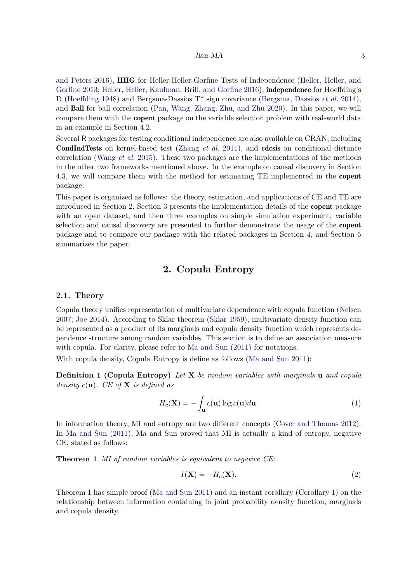#### [Jian MA](#page-16-11) 3

[and Peters](#page-16-11) [2016\)](#page-16-11), **HHG** for Heller-Heller-Gorfine Tests of Independence [\(Heller, Heller, and](#page-15-3) [Gorfine](#page-15-3) [2013;](#page-15-3) [Heller, Heller, Kaufman, Brill, and Gorfine](#page-16-12) [2016\)](#page-16-12), independence for Hoeffding's D [\(Hoeffding](#page-16-13) [1948\)](#page-16-13) and Bergsma-Dassios T\* sign covariance [\(Bergsma, Dassios](#page-15-4) *et al.* [2014\)](#page-15-4), and Ball for ball correlation [\(Pan, Wang, Zhang, Zhu, and Zhu](#page-16-14) [2020\)](#page-16-14). In this paper, we will compare them with the copent package on the variable selection problem with real-world data in an example in Section [4.2.](#page-8-0)

Several R packages for testing conditional independence are also available on CRAN, including CondIndTests on kernel-based test [\(Zhang](#page-17-2) *et al.* [2011\)](#page-17-2), and cdcsis on conditional distance correlation [\(Wang](#page-17-5) *et al.* [2015\)](#page-17-5). These two packages are the implementations of the methods in the other two frameworks mentioned above. In the example on causal discovery in Section [4.3,](#page-10-0) we will compare them with the method for estimating TE implemented in the copent package.

This paper is organized as follows: the theory, estimation, and applications of CE and TE are introduced in Section [2,](#page-2-0) Section [3](#page-4-0) presents the implementation details of the copent package with an open dataset, and then three examples on simple simulation experiment, variable selection and causal discovery are presented to further demonstrate the usage of the copent package and to compare our package with the related packages in Section [4,](#page-7-0) and Section [5](#page-13-0) summarizes the paper.

# **2. Copula Entropy**

#### <span id="page-2-0"></span>**2.1. Theory**

Copula theory unifies representation of multivariate dependence with copula function [\(Nelsen](#page-16-1) [2007;](#page-16-1) [Joe](#page-16-2) [2014\)](#page-16-2). According to Sklar theorem [\(Sklar](#page-17-0) [1959\)](#page-17-0), multivariate density function can be represented as a product of its marginals and copula density function which represents dependence structure among random variables. This section is to define an association measure with copula. For clarity, please refer to [Ma and Sun](#page-16-3)  $(2011)$  for notations.

With copula density, Copula Entropy is define as follows [\(Ma and Sun](#page-16-3) [2011\)](#page-16-3):

**Definition 1 (Copula Entropy)** *Let* **X** *be random variables with marginals* **u** *and copula density c*(**u**)*. CE of* **X** *is defined as*

<span id="page-2-1"></span>
$$
H_c(\mathbf{X}) = -\int_{\mathbf{u}} c(\mathbf{u}) \log c(\mathbf{u}) d\mathbf{u}.
$$
 (1)

In information theory, MI and entropy are two different concepts [\(Cover and Thomas](#page-15-0) [2012\)](#page-15-0). In [Ma and Sun](#page-16-3) [\(2011\)](#page-16-3), Ma and Sun proved that MI is actually a kind of entropy, negative CE, stated as follows:

**Theorem 1** *MI of random variables is equivalent to negative CE:*

$$
I(\mathbf{X}) = -H_c(\mathbf{X}).\tag{2}
$$

<span id="page-2-2"></span>Theorem [1](#page-2-1) has simple proof [\(Ma and Sun](#page-16-3) [2011\)](#page-16-3) and an instant corollary (Corollary [1\)](#page-2-2) on the relationship between information containing in joint probability density function, marginals and copula density.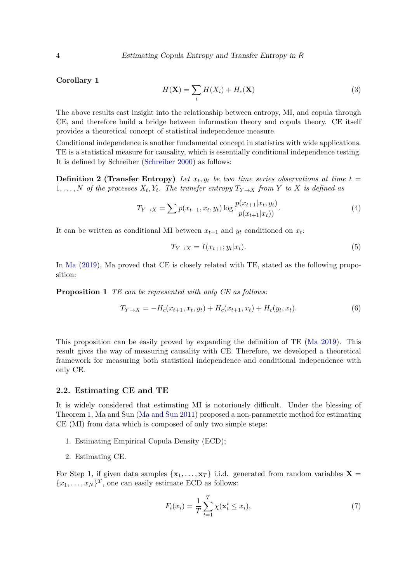**Corollary 1**

$$
H(\mathbf{X}) = \sum_{i} H(X_i) + H_c(\mathbf{X})
$$
\n(3)

The above results cast insight into the relationship between entropy, MI, and copula through CE, and therefore build a bridge between information theory and copula theory. CE itself provides a theoretical concept of statistical independence measure.

Conditional independence is another fundamental concept in statistics with wide applications. TE is a statistical measure for causality, which is essentially conditional independence testing. It is defined by Schreiber [\(Schreiber](#page-17-1) [2000\)](#page-17-1) as follows:

**Definition 2 (Transfer Entropy)** Let  $x_t, y_t$  be two time series observations at time  $t =$ 1,..., N of the processes  $X_t, Y_t$ . The transfer entropy  $T_{Y\to X}$  from Y to X is defined as

$$
T_{Y \to X} = \sum p(x_{t+1}, x_t, y_t) \log \frac{p(x_{t+1} | x_t, y_t)}{p(x_{t+1} | x_t)}.
$$
\n(4)

It can be written as conditional MI between  $x_{t+1}$  and  $y_t$  conditioned on  $x_t$ :

<span id="page-3-2"></span>
$$
T_{Y \to X} = I(x_{t+1}; y_t | x_t). \tag{5}
$$

In [Ma](#page-16-5) [\(2019\)](#page-16-5), Ma proved that CE is closely related with TE, stated as the following proposition:

**Proposition 1** *TE can be represented with only CE as follows:*

<span id="page-3-0"></span>
$$
T_{Y \to X} = -H_c(x_{t+1}, x_t, y_t) + H_c(x_{t+1}, x_t) + H_c(y_t, x_t).
$$
\n(6)

This proposition can be easily proved by expanding the definition of TE [\(Ma](#page-16-5) [2019\)](#page-16-5). This result gives the way of measuring causality with CE. Therefore, we developed a theoretical framework for measuring both statistical independence and conditional independence with only CE.

#### <span id="page-3-1"></span>**2.2. Estimating CE and TE**

It is widely considered that estimating MI is notoriously difficult. Under the blessing of Theorem [1,](#page-2-1) Ma and Sun [\(Ma and Sun](#page-16-3) [2011\)](#page-16-3) proposed a non-parametric method for estimating CE (MI) from data which is composed of only two simple steps:

- 1. Estimating Empirical Copula Density (ECD);
- 2. Estimating CE.

For Step 1, if given data samples  $\{x_1, \ldots, x_T\}$  i.i.d. generated from random variables  $X =$  ${x_1, \ldots, x_N}^T$ , one can easily estimate ECD as follows:

$$
F_i(x_i) = \frac{1}{T} \sum_{t=1}^T \chi(\mathbf{x}_t^i \le x_i),\tag{7}
$$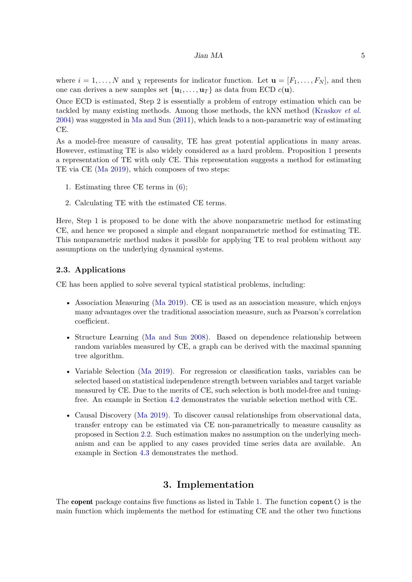#### Jian MA 5

where  $i = 1, \ldots, N$  and  $\chi$  represents for indicator function. Let  $\mathbf{u} = [F_1, \ldots, F_N]$ , and then one can derives a new samples set  $\{u_1, \ldots, u_T\}$  as data from ECD  $c(\mathbf{u})$ .

Once ECD is estimated, Step 2 is essentially a problem of entropy estimation which can be tackled by many existing methods. Among those methods, the kNN method [\(Kraskov](#page-16-4) *et al.* [2004\)](#page-16-4) was suggested in [Ma and Sun](#page-16-3) [\(2011\)](#page-16-3), which leads to a non-parametric way of estimating CE.

As a model-free measure of causality, TE has great potential applications in many areas. However, estimating TE is also widely considered as a hard problem. Proposition [1](#page-3-0) presents a representation of TE with only CE. This representation suggests a method for estimating TE via CE [\(Ma](#page-16-5) [2019\)](#page-16-5), which composes of two steps:

- 1. Estimating three CE terms in [\(6\)](#page-3-0);
- 2. Calculating TE with the estimated CE terms.

Here, Step 1 is proposed to be done with the above nonparametric method for estimating CE, and hence we proposed a simple and elegant nonparametric method for estimating TE. This nonparametric method makes it possible for applying TE to real problem without any assumptions on the underlying dynamical systems.

#### **2.3. Applications**

CE has been applied to solve several typical statistical problems, including:

- Association Measuring [\(Ma](#page-16-6) [2019\)](#page-16-6). CE is used as an association measure, which enjoys many advantages over the traditional association measure, such as Pearson's correlation coefficient.
- Structure Learning [\(Ma and Sun](#page-16-7) [2008\)](#page-16-7). Based on dependence relationship between random variables measured by CE, a graph can be derived with the maximal spanning tree algorithm.
- Variable Selection [\(Ma](#page-16-8) [2019\)](#page-16-8). For regression or classification tasks, variables can be selected based on statistical independence strength between variables and target variable measured by CE. Due to the merits of CE, such selection is both model-free and tuningfree. An example in Section [4.2](#page-8-0) demonstrates the variable selection method with CE.
- Causal Discovery [\(Ma](#page-16-5) [2019\)](#page-16-5). To discover causal relationships from observational data, transfer entropy can be estimated via CE non-parametrically to measure causality as proposed in Section [2.2.](#page-3-1) Such estimation makes no assumption on the underlying mechanism and can be applied to any cases provided time series data are available. An example in Section [4.3](#page-10-0) demonstrates the method.

### **3. Implementation**

<span id="page-4-0"></span>The copent package contains five functions as listed in Table [1.](#page-5-0) The function copent() is the main function which implements the method for estimating CE and the other two functions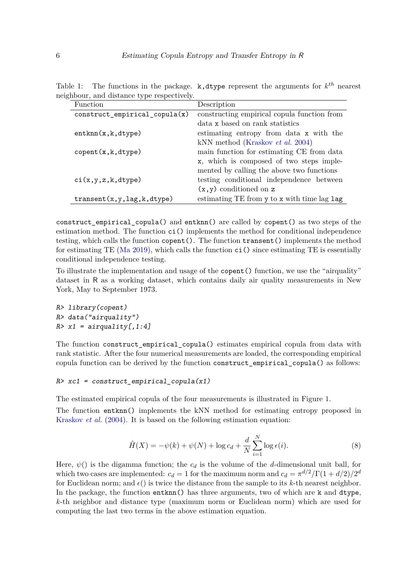<span id="page-5-0"></span>

| Function                                      | Description                                 |
|-----------------------------------------------|---------------------------------------------|
| $construct$ _empirical_copula $(x)$           | constructing empirical copula function from |
|                                               | data x based on rank statistics             |
| entknn(x, k, dtype)                           | estimating entropy from data x with the     |
|                                               | kNN method (Kraskov <i>et al.</i> 2004)     |
| $\text{copent}(x, k, \text{dtype})$           | main function for estimating CE from data   |
|                                               | x, which is composed of two steps imple-    |
|                                               | mented by calling the above two functions   |
| ci(x,y,z,k,dtype)                             | testing conditional independence between    |
|                                               | $(x, y)$ conditioned on z                   |
| $transent(x, y, \text{lag}, k, \text{dtype})$ | estimating TE from y to x with time lag lag |

Table 1: The functions in the package.  $k$ , dtype represent the arguments for  $k^{th}$  nearest neighbour, and distance type respectively.

construct\_empirical\_copula() and entknn() are called by copent() as two steps of the estimation method. The function ci() implements the method for conditional independence testing, which calls the function copent(). The function transent() implements the method for estimating TE [\(Ma](#page-16-5) [2019\)](#page-16-5), which calls the function ci() since estimating TE is essentially conditional independence testing.

To illustrate the implementation and usage of the copent() function, we use the "airquality" dataset in R as a working dataset, which contains daily air quality measurements in New York, May to September 1973.

R> library(copent) R> data("airquality")  $R > x1 = \text{airquality}[1:4]$ 

The function construct empirical copula() estimates empirical copula from data with rank statistic. After the four numerical measurements are loaded, the corresponding empirical copula function can be derived by the function construct\_empirical\_copula() as follows:

```
R > x c1 = construct_empirical_copula(x1)
```
The estimated empirical copula of the four measurements is illustrated in Figure [1.](#page-6-0)

The function entknn() implements the kNN method for estimating entropy proposed in [Kraskov](#page-16-4) *et al.* [\(2004\)](#page-16-4). It is based on the following estimation equation:

$$
\hat{H}(X) = -\psi(k) + \psi(N) + \log c_d + \frac{d}{N} \sum_{i=1}^{N} \log \epsilon(i).
$$
\n(8)

Here,  $\psi$ () is the digamma function; the  $c_d$  is the volume of the *d*-dimensional unit ball, for which two cases are implemented:  $c_d = 1$  for the maximum norm and  $c_d = \pi^{d/2}/\Gamma(1 + d/2)/2^d$ for Euclidean norm; and  $\epsilon$ ) is twice the distance from the sample to its *k*-th nearest neighbor. In the package, the function entknn() has three arguments, two of which are k and dtype, *k*-th neighbor and distance type (maximum norm or Euclidean norm) which are used for computing the last two terms in the above estimation equation.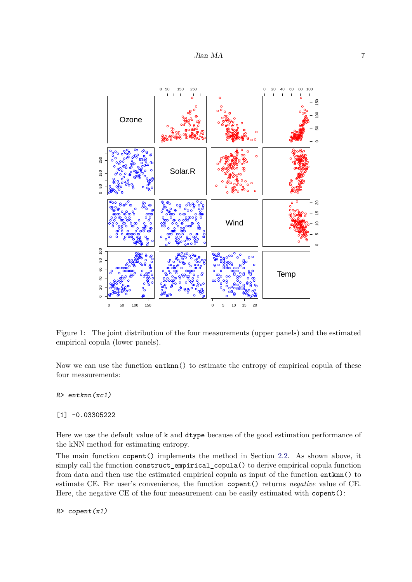

<span id="page-6-0"></span>Figure 1: The joint distribution of the four measurements (upper panels) and the estimated empirical copula (lower panels).

Now we can use the function entknn() to estimate the entropy of empirical copula of these four measurements:

R> entknn(xc1)

[1] -0.03305222

Here we use the default value of k and dtype because of the good estimation performance of the kNN method for estimating entropy.

The main function copent() implements the method in Section [2.2.](#page-3-1) As shown above, it simply call the function construct empirical copula() to derive empirical copula function from data and then use the estimated empirical copula as input of the function entknn() to estimate CE. For user's convenience, the function copent() returns *negative* value of CE. Here, the negative CE of the four measurement can be easily estimated with copent():

 $R$ > copent(x1)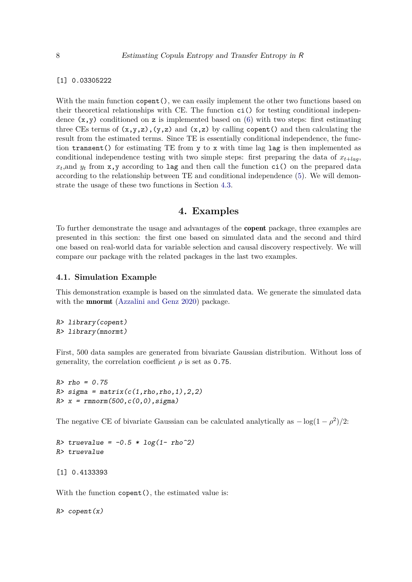[1] 0.03305222

With the main function  $\text{copent}($ ), we can easily implement the other two functions based on their theoretical relationships with CE. The function ci() for testing conditional independence  $(x,y)$  conditioned on z is implemented based on [\(6\)](#page-3-0) with two steps: first estimating three CEs terms of  $(x,y,z)$ ,  $(y,z)$  and  $(x,z)$  by calling copent () and then calculating the result from the estimated terms. Since TE is essentially conditional independence, the function transent() for estimating TE from y to x with time lag lag is then implemented as conditional independence testing with two simple steps: first preparing the data of  $x_{t+laq}$ ,  $x_t$ , and  $y_t$  from  $x$ ,  $y$  according to lag and then call the function  $ci()$  on the prepared data according to the relationship between TE and conditional independence [\(5\)](#page-3-2). We will demonstrate the usage of these two functions in Section [4.3.](#page-10-0)

### **4. Examples**

<span id="page-7-0"></span>To further demonstrate the usage and advantages of the copent package, three examples are presented in this section: the first one based on simulated data and the second and third one based on real-world data for variable selection and causal discovery respectively. We will compare our package with the related packages in the last two examples.

#### **4.1. Simulation Example**

This demonstration example is based on the simulated data. We generate the simulated data with the **mnormt** [\(Azzalini and Genz](#page-15-5) [2020\)](#page-15-5) package.

R> library(copent) R> library(mnormt)

First, 500 data samples are generated from bivariate Gaussian distribution. Without loss of generality, the correlation coefficient  $\rho$  is set as 0.75.

```
R>rho = 0.75R > sigma = matrix(c(1,rho,rho,1),2,2)
R > x = rmnorm(500,c(0,0),sigma)
```
The negative CE of bivariate Gaussian can be calculated analytically as  $-\log(1-\rho^2)/2$ :

 $R$ > truevalue =  $-0.5 * log(1 - rho^2)$ R> truevalue

[1] 0.4133393

With the function copent (), the estimated value is:

 $R$ > copent $(x)$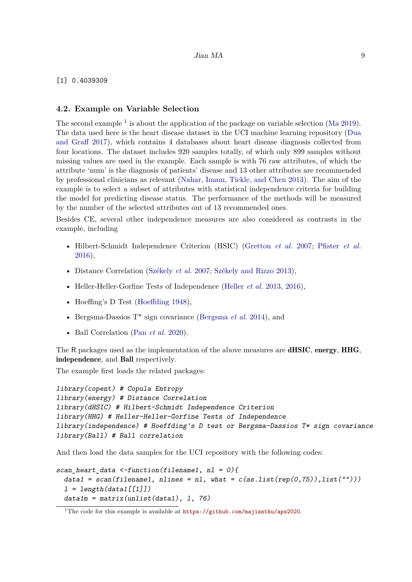#### [1] 0.4039309

#### <span id="page-8-0"></span>**4.2. Example on Variable Selection**

The second example  $<sup>1</sup>$  $<sup>1</sup>$  $<sup>1</sup>$  is about the application of the package on variable selection [\(Ma](#page-16-8) [2019\)](#page-16-8).</sup> The data used here is the heart disease dataset in the UCI machine learning repository [\(Dua](#page-15-6) [and Graff](#page-15-6) [2017\)](#page-15-6), which contains 4 databases about heart disease diagnosis collected from four locations. The dataset includes 920 samples totally, of which only 899 samples without missing values are used in the example. Each sample is with 76 raw attributes, of which the attribute 'num' is the diagnosis of patients' disease and 13 other attributes are recommended by professional clinicians as relevant [\(Nahar, Imam, Tickle, and Chen](#page-16-15) [2013\)](#page-16-15). The aim of the example is to select a subset of attributes with statistical independence criteria for building the model for predicting disease status. The performance of the methods will be measured by the number of the selected attributes out of 13 recommended ones.

Besides CE, several other independence measures are also considered as contrasts in the example, including

- Hilbert-Schmidt Independence Criterion (HSIC) [\(Gretton](#page-15-2) *et al.* [2007;](#page-15-2) [Pfister](#page-16-11) *et al.* [2016\)](#page-16-11),
- Distance Correlation [\(Székely](#page-17-3) *et al.* [2007;](#page-17-3) [Székely and Rizzo](#page-17-7) [2013\)](#page-17-7),
- Heller-Heller-Gorfine Tests of Independence [\(Heller](#page-15-3) *et al.* [2013,](#page-15-3) [2016\)](#page-16-12),
- Hoeffing's D Test [\(Hoeffding](#page-16-13) [1948\)](#page-16-13),
- Bergsma-Dassios T\* sign covariance [\(Bergsma](#page-15-4) *et al.* [2014\)](#page-15-4), and
- Ball Correlation (Pan *[et al.](#page-16-14)* [2020\)](#page-16-14).

The R packages used as the implementation of the above measures are **dHSIC**, energy, HHG, independence, and Ball respectively.

The example first loads the related packages:

```
library(copent) # Copula Entropy
library(energy) # Distance Correlation
library(dHSIC) # Hilbert-Schmidt Independence Criterion
library(HHG) # Heller-Heller-Gorfine Tests of Independence
library(independence) # Hoeffding's D test or Bergsma-Dassios T* sign covariance
library(Ball) # Ball correlation
```
And then load the data samples for the UCI repository with the following codes:

```
scan_heart_data \le-function(filename1, nl = 0){
 data1 = scan(filename1, nlines = n1, what = c(as.list(rep(0,75)), list(""))l = length(data1[[1]])data1m = matrix(unlist(data1), 1, 76)
```
<span id="page-8-1"></span><sup>&</sup>lt;sup>1</sup>The code for this example is available at  $https://github.com/majianthu/aps2020$ .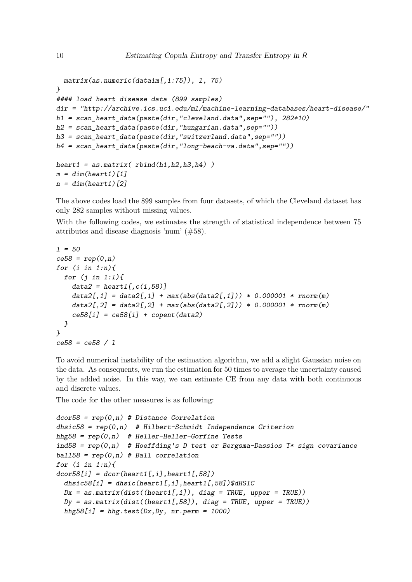```
matrix(as.numeric(data1m[,1:75]), l, 75)
}
#### load heart disease data (899 samples)
dir = "http://archive.ics.uci.edu/ml/machine-learning-databases/heart-disease/"
h1 = scan heart data(paste(dir, "cleveland.data", sep=""), 282*10)
h2 = scan\_heart\_data(paste(dir, "hungarian.data", sep=""))h3 = scan heart data(paste(dir,"switzerland.data",sep=""))
h4 = scan_heart_data(paste(dir,"long-beach-va.data",sep=""))
heart1 = as.matrix( rbind(h1.h2.h3.h4) )m = dim(hearth1)[1]n = dim(headrt1)[2]
```
The above codes load the 899 samples from four datasets, of which the Cleveland dataset has only 282 samples without missing values.

With the following codes, we estimates the strength of statistical independence between 75 attributes and disease diagnosis 'num' (#58).

```
1 = 50ce58 = rep(0, n)for (i \text{ in } 1:n)for (i \in 1:1)data2 = heart1[,c(i,58)]data2[,1] = data2[,1] + max(abs(data2[,1])) * 0.000001 * rnorm(m)data2[,2] = data2[,2] + max(abs(data2[,2])) * 0.000001 * rnorm(m)ce58[i] = ce58[i] + copent(data2)}
}
ce58 = ce58 / l
```
To avoid numerical instability of the estimation algorithm, we add a slight Gaussian noise on the data. As consequents, we run the estimation for 50 times to average the uncertainty caused by the added noise. In this way, we can estimate CE from any data with both continuous and discrete values.

The code for the other measures is as following:

```
dcor58 = rep(0, n) # Distance Correlation
dhsic58 = rep(0, n) # Hilbert-Schmidt Independence Criterion
hhg58 = rep(0, n) # Heller-Heller-Gorfine Tests
ind58 = rep(0, n) # Hoeffding's D test or Bergsma-Dassios T* sign covariance
ball58 = rep(0, n) # Ball correlationfor (i \text{ in } 1:n){
dcor58[i] = dcor(heart1[, i], heart1[, 58]dhsic58[i] = dhsic(heart1[,i],heart1[,58])$dHSIC
 Dx = as.matrix(dist((heart1[,i]), diag = TRUE, upper = TRUE))Dy = as_matrix(dist((heart1[,58]), diag = TRUE, upper = TRUE))hhg58[i] = hhg.test(Dx, Dy, nr.perm = 1000)
```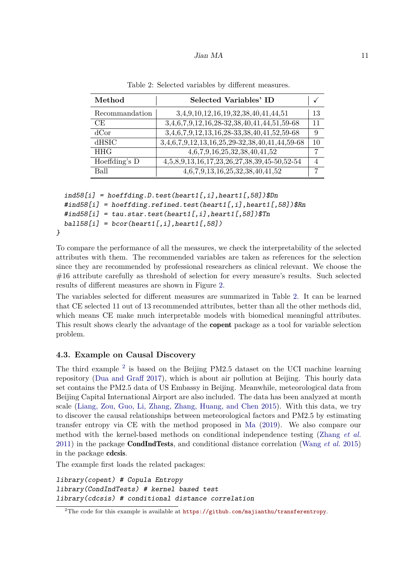#### Jian MA 11

| Method         | Selected Variables' ID                                  |    |
|----------------|---------------------------------------------------------|----|
| Recommandation | 3,4,9,10,12,16,19,32,38,40,41,44,51                     | 13 |
| CE             | $3,4,6,7,9,12,16,28-32,38,40,41,4\overline{4,51,59-68}$ | 11 |
| dCor           | 3,4,6,7,9,12,13,16,28-33,38,40,41,52,59-68              | 9  |
| dHSIC          | 3,4,6,7,9,12,13,16,25,29-32,38,40,41,44,59-68           | 10 |
| <b>HHG</b>     | 4,6,7,9,16,25,32,38,40,41,52                            |    |
| Hoeffding's D  | 4,5,8,9,13,16,17,23,26,27,38,39,45-50,52-54             |    |
| Ball           | 4,6,7,9,13,16,25,32,38,40,41,52                         | ⇁  |

<span id="page-10-1"></span>Table 2: Selected variables by different measures.

```
ind58[i] = hoeffding.D.test(headrt1[, i], heart1[, 58])$Dn\#ind58[i] = \text{hoeffding.refined.test(heart1[, i], heart1[, 58])$Rn
\#ind58[i] = \text{tau.start.test}(\text{heart1}[,i], \text{heart1}[,58])$Tn
ball158[i] = bcor(hearth[,i],heart1[,58])
```
To compare the performance of all the measures, we check the interpretability of the selected attributes with them. The recommended variables are taken as references for the selection since they are recommended by professional researchers as clinical relevant. We choose the #16 attribute carefully as threshold of selection for every measure's results. Such selected results of different measures are shown in Figure [2.](#page-11-0)

The variables selected for different measures are summarized in Table [2.](#page-10-1) It can be learned that CE selected 11 out of 13 recommended attributes, better than all the other methods did, which means CE make much interpretable models with biomedical meaningful attributes. This result shows clearly the advantage of the copent package as a tool for variable selection problem.

### <span id="page-10-0"></span>**4.3. Example on Causal Discovery**

}

The third example  $2$  is based on the Beijing PM2.5 dataset on the UCI machine learning repository [\(Dua and Graff](#page-15-6) [2017\)](#page-15-6), which is about air pollution at Beijing. This hourly data set contains the PM2.5 data of US Embassy in Beijing. Meanwhile, meteorological data from Beijing Capital International Airport are also included. The data has been analyzed at month scale [\(Liang, Zou, Guo, Li, Zhang, Zhang, Huang, and Chen](#page-16-16) [2015\)](#page-16-16). With this data, we try to discover the causal relationships between meteorological factors and PM2.5 by estimating transfer entropy via CE with the method proposed in [Ma](#page-16-5) [\(2019\)](#page-16-5). We also compare our method with the kernel-based methods on conditional independence testing [\(Zhang](#page-17-2) *et al.* [2011\)](#page-17-2) in the package CondIndTests, and conditional distance correlation [\(Wang](#page-17-5) *et al.* [2015\)](#page-17-5) in the package cdcsis.

The example first loads the related packages:

library(copent) # Copula Entropy library(CondIndTests) # kernel based test library(cdcsis) # conditional distance correlation

<span id="page-10-2"></span><sup>&</sup>lt;sup>2</sup>The code for this example is available at  $\frac{h}{k}$ ://github.com/majianthu/transferentropy.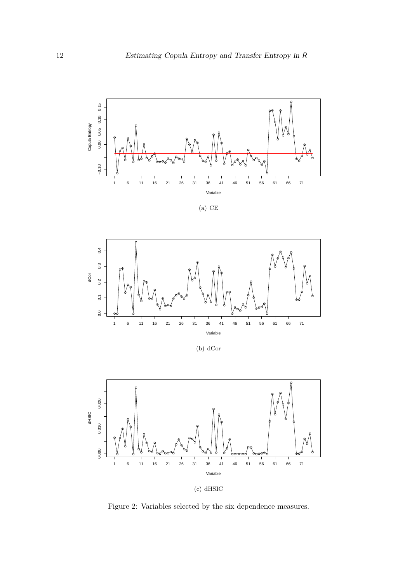

(a) CE



(b) dCor



(c) dHSIC

<span id="page-11-0"></span>Figure 2: Variables selected by the six dependence measures.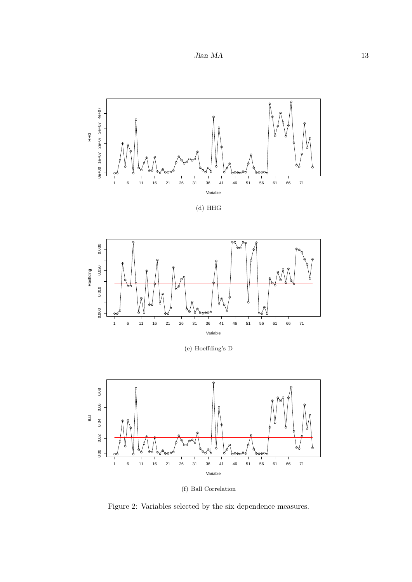$Jian\ MA \hskip 1.6cm 13$ 







(e) Hoeffding's D



(f) Ball Correlation

Figure 2: Variables selected by the six dependence measures.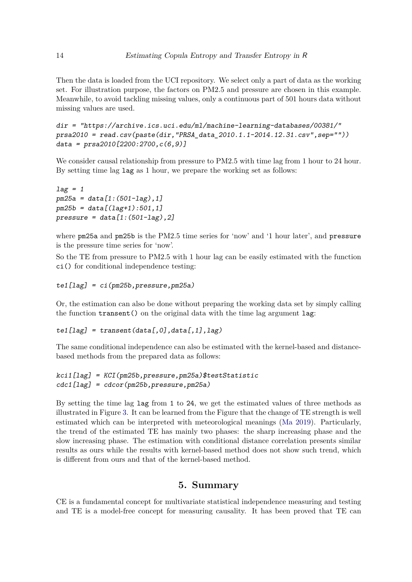Then the data is loaded from the UCI repository. We select only a part of data as the working set. For illustration purpose, the factors on PM2.5 and pressure are chosen in this example. Meanwhile, to avoid tackling missing values, only a continuous part of 501 hours data without missing values are used.

```
dir = "https://archive.ics.uci.edu/ml/machine-learning-databases/00381/"
prsa2010 = read.csv(paste(dir,"PRSA_data_2010.1.1-2014.12.31.csv",sep=""))
data = prsa2010[2200:2700,c(6,9)]
```
We consider causal relationship from pressure to PM2.5 with time lag from 1 hour to 24 hour. By setting time lag lag as 1 hour, we prepare the working set as follows:

```
lag = 1pm25a = data[1:(501-lag),1]pm25b = data[(lag+1):501, 1]pressure = data[1:(501-lag),2]
```
where pm25a and pm25b is the PM2.5 time series for 'now' and '1 hour later', and pressure is the pressure time series for 'now'.

So the TE from pressure to PM2.5 with 1 hour lag can be easily estimated with the function ci() for conditional independence testing:

```
te1[lag] = ci(pm25b, pressure, pm25a)
```
Or, the estimation can also be done without preparing the working data set by simply calling the function transent() on the original data with the time lag argument lag:

 $tel[Lag] = transent(data[, 0], data[, 1], lag)$ 

The same conditional independence can also be estimated with the kernel-based and distancebased methods from the prepared data as follows:

```
kci1[lag] = KCI(pm25b,pressure,pm25a)$testStatistic
cdc1[lag] = cdcor(pm25b,pressure,pm25a)
```
By setting the time lag lag from 1 to 24, we get the estimated values of three methods as illustrated in Figure [3.](#page-14-0) It can be learned from the Figure that the change of TE strength is well estimated which can be interpreted with meteorological meanings [\(Ma](#page-16-5) [2019\)](#page-16-5). Particularly, the trend of the estimated TE has mainly two phases: the sharp increasing phase and the slow increasing phase. The estimation with conditional distance correlation presents similar results as ours while the results with kernel-based method does not show such trend, which is different from ours and that of the kernel-based method.

# **5. Summary**

<span id="page-13-0"></span>CE is a fundamental concept for multivariate statistical independence measuring and testing and TE is a model-free concept for measuring causality. It has been proved that TE can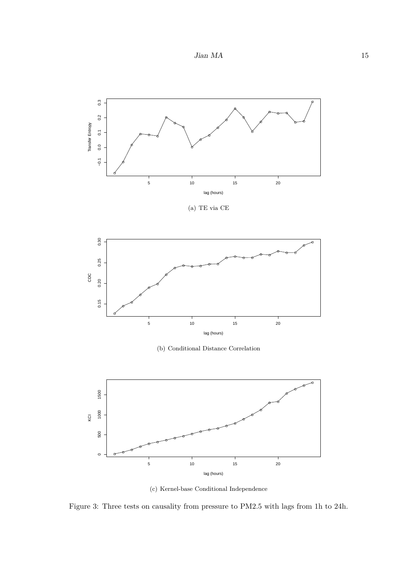$Jian\ MA \hskip 1.6cm 15$ 



(c) Kernel-base Conditional Independence

<span id="page-14-0"></span>Figure 3: Three tests on causality from pressure to PM2.5 with lags from 1h to 24h.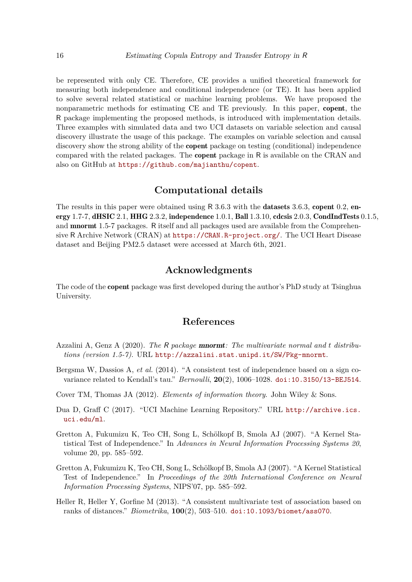be represented with only CE. Therefore, CE provides a unified theoretical framework for measuring both independence and conditional independence (or TE). It has been applied to solve several related statistical or machine learning problems. We have proposed the nonparametric methods for estimating CE and TE previously. In this paper, copent, the R package implementing the proposed methods, is introduced with implementation details. Three examples with simulated data and two UCI datasets on variable selection and causal discovery illustrate the usage of this package. The examples on variable selection and causal discovery show the strong ability of the **copent** package on testing (conditional) independence compared with the related packages. The copent package in R is available on the CRAN and also on GitHub at <https://github.com/majianthu/copent>.

# **Computational details**

The results in this paper were obtained using R 3.6.3 with the **datasets** 3.6.3, copent 0.2, energy 1.7-7, dHSIC 2.1, HHG 2.3.2, independence 1.0.1, Ball 1.3.10, cdcsis 2.0.3, CondIndTests 0.1.5, and mnormt 1.5-7 packages. R itself and all packages used are available from the Comprehensive R Archive Network (CRAN) at <https://CRAN.R-project.org/>. The UCI Heart Disease dataset and Beijing PM2.5 dataset were accessed at March 6th, 2021.

# **Acknowledgments**

The code of the copent package was first developed during the author's PhD study at Tsinghua University.

# **References**

- <span id="page-15-5"></span>Azzalini A, Genz A (2020). *The* R *package* mnormt*: The multivariate normal and t distributions (version 1.5-7)*. URL <http://azzalini.stat.unipd.it/SW/Pkg-mnormt>.
- <span id="page-15-4"></span>Bergsma W, Dassios A, *et al.* (2014). "A consistent test of independence based on a sign covariance related to Kendall's tau." *Bernoulli*, **20**(2), 1006–1028. [doi:10.3150/13-BEJ514](http://dx.doi.org/10.3150/13-BEJ514).
- <span id="page-15-0"></span>Cover TM, Thomas JA (2012). *Elements of information theory*. John Wiley & Sons.
- <span id="page-15-6"></span>Dua D, Graff C (2017). "UCI Machine Learning Repository." URL [http://archive.ics.](http://archive.ics.uci.edu/ml) [uci.edu/ml](http://archive.ics.uci.edu/ml).
- <span id="page-15-1"></span>Gretton A, Fukumizu K, Teo CH, Song L, Schölkopf B, Smola AJ (2007). "A Kernel Statistical Test of Independence." In *Advances in Neural Information Processing Systems 20*, volume 20, pp. 585–592.
- <span id="page-15-2"></span>Gretton A, Fukumizu K, Teo CH, Song L, Schölkopf B, Smola AJ (2007). "A Kernel Statistical Test of Independence." In *Proceedings of the 20th International Conference on Neural Information Processing Systems*, NIPS'07, pp. 585–592.
- <span id="page-15-3"></span>Heller R, Heller Y, Gorfine M (2013). "A consistent multivariate test of association based on ranks of distances." *Biometrika*, **100**(2), 503–510. [doi:10.1093/biomet/ass070](http://dx.doi.org/10.1093/biomet/ass070).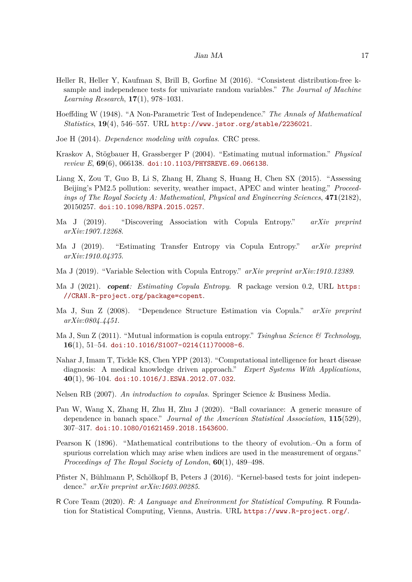- <span id="page-16-12"></span>Heller R, Heller Y, Kaufman S, Brill B, Gorfine M (2016). "Consistent distribution-free ksample and independence tests for univariate random variables." *The Journal of Machine Learning Research*, **17**(1), 978–1031.
- <span id="page-16-13"></span>Hoeffding W (1948). "A Non-Parametric Test of Independence." *The Annals of Mathematical Statistics*, **19**(4), 546–557. URL <http://www.jstor.org/stable/2236021>.
- <span id="page-16-2"></span>Joe H (2014). *Dependence modeling with copulas*. CRC press.
- <span id="page-16-4"></span>Kraskov A, Stögbauer H, Grassberger P (2004). "Estimating mutual information." *Physical review E*, **69**(6), 066138. [doi:10.1103/PHYSREVE.69.066138](http://dx.doi.org/10.1103/PHYSREVE.69.066138).
- <span id="page-16-16"></span>Liang X, Zou T, Guo B, Li S, Zhang H, Zhang S, Huang H, Chen SX (2015). "Assessing Beijing's PM2.5 pollution: severity, weather impact, APEC and winter heating." *Proceedings of The Royal Society A: Mathematical, Physical and Engineering Sciences*, **471**(2182), 20150257. [doi:10.1098/RSPA.2015.0257](http://dx.doi.org/10.1098/RSPA.2015.0257).
- <span id="page-16-6"></span>Ma J (2019). "Discovering Association with Copula Entropy." *arXiv preprint arXiv:1907.12268*.
- <span id="page-16-5"></span>Ma J (2019). "Estimating Transfer Entropy via Copula Entropy." *arXiv preprint arXiv:1910.04375*.
- <span id="page-16-8"></span>Ma J (2019). "Variable Selection with Copula Entropy." *arXiv preprint arXiv:1910.12389*.
- <span id="page-16-9"></span>Ma J (2021). copent*: Estimating Copula Entropy*. R package version 0.2, URL [https:](https://CRAN.R-project.org/package=copent) [//CRAN.R-project.org/package=copent](https://CRAN.R-project.org/package=copent).
- <span id="page-16-7"></span>Ma J, Sun Z (2008). "Dependence Structure Estimation via Copula." *arXiv preprint arXiv:0804.4451*.
- <span id="page-16-3"></span>Ma J, Sun Z (2011). "Mutual information is copula entropy." *Tsinghua Science & Technology*, **16**(1), 51–54. [doi:10.1016/S1007-0214\(11\)70008-6](http://dx.doi.org/10.1016/S1007-0214(11)70008-6).
- <span id="page-16-15"></span>Nahar J, Imam T, Tickle KS, Chen YPP (2013). "Computational intelligence for heart disease diagnosis: A medical knowledge driven approach." *Expert Systems With Applications*, **40**(1), 96–104. [doi:10.1016/J.ESWA.2012.07.032](http://dx.doi.org/10.1016/J.ESWA.2012.07.032).
- <span id="page-16-1"></span>Nelsen RB (2007). *An introduction to copulas*. Springer Science & Business Media.
- <span id="page-16-14"></span>Pan W, Wang X, Zhang H, Zhu H, Zhu J (2020). "Ball covariance: A generic measure of dependence in banach space." *Journal of the American Statistical Association*, **115**(529), 307–317. [doi:10.1080/01621459.2018.1543600](http://dx.doi.org/10.1080/01621459.2018.1543600).
- <span id="page-16-0"></span>Pearson K (1896). "Mathematical contributions to the theory of evolution.–On a form of spurious correlation which may arise when indices are used in the measurement of organs." *Proceedings of The Royal Society of London*, **60**(1), 489–498.
- <span id="page-16-11"></span>Pfister N, Bühlmann P, Schölkopf B, Peters J (2016). "Kernel-based tests for joint independence." *arXiv preprint arXiv:1603.00285*.
- <span id="page-16-10"></span>R Core Team (2020). R*: A Language and Environment for Statistical Computing*. R Foundation for Statistical Computing, Vienna, Austria. URL <https://www.R-project.org/>.